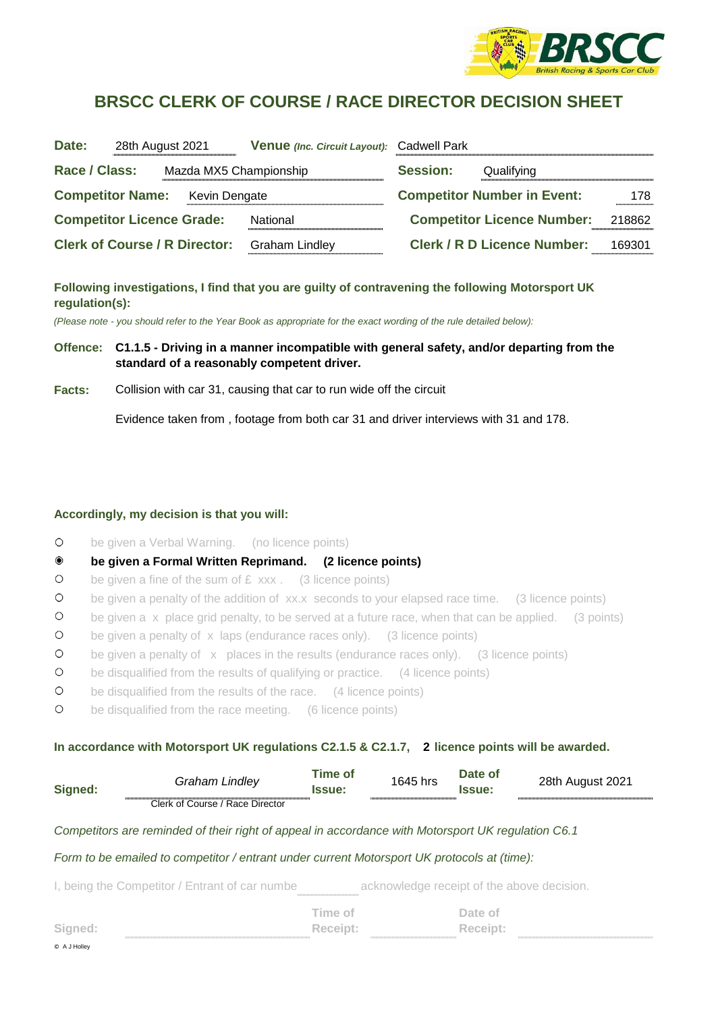

# **BRSCC CLERK OF COURSE / RACE DIRECTOR DECISION SHEET**

| Date:                                    | 28th August 2021                     | <b>Venue</b> (Inc. Circuit Layout): | <b>Cadwell Park</b> |                                    |        |
|------------------------------------------|--------------------------------------|-------------------------------------|---------------------|------------------------------------|--------|
| Race / Class:                            | Mazda MX5 Championship               |                                     | <b>Session:</b>     | Qualifying                         |        |
| <b>Competitor Name:</b><br>Kevin Dengate |                                      | <b>Competitor Number in Event:</b>  | 178.                |                                    |        |
|                                          | <b>Competitor Licence Grade:</b>     | National                            |                     | <b>Competitor Licence Number:</b>  | 218862 |
|                                          | <b>Clerk of Course / R Director:</b> | <b>Graham Lindley</b>               |                     | <b>Clerk / R D Licence Number:</b> | 169301 |

## **Following investigations, I find that you are guilty of contravening the following Motorsport UK regulation(s):**

*(Please note - you should refer to the Year Book as appropriate for the exact wording of the rule detailed below):*

### **Offence: C1.1.5 - Driving in a manner incompatible with general safety, and/or departing from the standard of a reasonably competent driver.**

**Facts:** Collision with car 31, causing that car to run wide off the circuit

Evidence taken from , footage from both car 31 and driver interviews with 31 and 178.

#### **Accordingly, my decision is that you will:**

© A J Holley

- $\bigcirc$ be given a Verbal Warning. (no licence points)
- $\bullet$ **be given a Formal Written Reprimand. (2 licence points)**
- $\circ$ be given a fine of the sum of  $E$  xxx. (3 licence points)
- $\circ$ be given a penalty of the addition of xx.x seconds to your elapsed race time. (3 licence points)
- $\circ$ be given a x place grid penalty, to be served at a future race, when that can be applied. (3 points)
- $\circ$ be given a penalty of x laps (endurance races only). (3 licence points)
- $\circ$ be given a penalty of  $\bar{x}$  places in the results (endurance races only). (3 licence points)
- $\circ$ be disqualified from the results of qualifying or practice. (4 licence points)
- $\bigcirc$ be disqualified from the results of the race. (4 licence points)
- $\circ$ be disqualified from the race meeting. (6 licence points)

#### In accordance with Motorsport UK regulations C2.1.5 & C2.1.7, 2 licence points will be awarded.

| Signed: | Graham Lindlev                  | Time of<br>Issue: | 1645 hrs | Date of<br>Issue: | 28th August 2021 |
|---------|---------------------------------|-------------------|----------|-------------------|------------------|
|         | Clerk of Course / Race Director |                   |          |                   |                  |

#### *Competitors are reminded of their right of appeal in accordance with Motorsport UK regulation C6.1*

#### *Form to be emailed to competitor / entrant under current Motorsport UK protocols at (time):*

I, being the Competitor / Entrant of car numbe acknowledge receipt of the above decision.

|                                          | Time of      | Date of  |  |
|------------------------------------------|--------------|----------|--|
| Signed:<br>----------------------------- | Receipt:<br> | Receipt: |  |